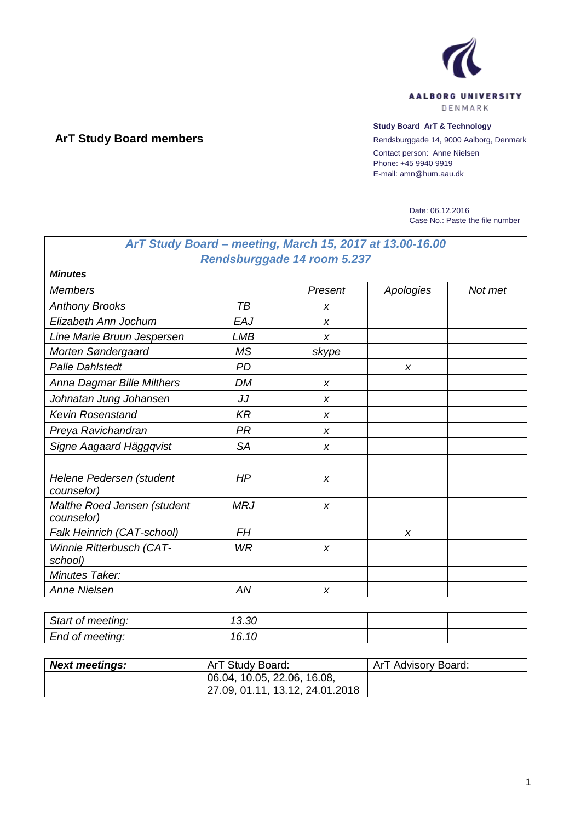

## **ArT Study Board members**

## **Study Board ArT & Technology**

Rendsburggade 14, 9000 Aalborg, Denmark Contact person: Anne Nielsen Phone: +45 9940 9919 E-mail: amn@hum.aau.dk

> Date: 06.12.2016 Case No.: Paste the file number

|                                           |            | ArT Study Board - meeting, March 15, 2017 at 13.00-16.00 |           |         |
|-------------------------------------------|------------|----------------------------------------------------------|-----------|---------|
|                                           |            | Rendsburggade 14 room 5.237                              |           |         |
| <b>Minutes</b>                            |            |                                                          |           |         |
| <b>Members</b>                            |            | Present                                                  | Apologies | Not met |
| <b>Anthony Brooks</b>                     | ТB         | X                                                        |           |         |
| Elizabeth Ann Jochum                      | EAJ        | $\boldsymbol{x}$                                         |           |         |
| Line Marie Bruun Jespersen                | <b>LMB</b> | X                                                        |           |         |
| Morten Søndergaard                        | <b>MS</b>  | skype                                                    |           |         |
| <b>Palle Dahlstedt</b>                    | <b>PD</b>  |                                                          | X         |         |
| Anna Dagmar Bille Milthers                | <b>DM</b>  | $\boldsymbol{x}$                                         |           |         |
| Johnatan Jung Johansen                    | JJ         | $\boldsymbol{x}$                                         |           |         |
| <b>Kevin Rosenstand</b>                   | <b>KR</b>  | X                                                        |           |         |
| Preya Ravichandran                        | <b>PR</b>  | $\boldsymbol{x}$                                         |           |         |
| Signe Aagaard Häggqvist                   | <b>SA</b>  | X                                                        |           |         |
|                                           |            |                                                          |           |         |
| Helene Pedersen (student<br>counselor)    | HP         | $\boldsymbol{x}$                                         |           |         |
| Malthe Roed Jensen (student<br>counselor) | <b>MRJ</b> | $\boldsymbol{x}$                                         |           |         |
| Falk Heinrich (CAT-school)                | FΗ         |                                                          | X         |         |
| Winnie Ritterbusch (CAT-<br>school)       | <b>WR</b>  | $\boldsymbol{x}$                                         |           |         |
| Minutes Taker:                            |            |                                                          |           |         |
| <b>Anne Nielsen</b>                       | AN         | X                                                        |           |         |

| Start of meeting: | ാറ<br>ა.ას           |  |  |
|-------------------|----------------------|--|--|
| End of meeting:   | IG 10<br><b>U.IL</b> |  |  |

| <b>Next meetings:</b> | ArT Study Board:                | ArT Advisory Board: |
|-----------------------|---------------------------------|---------------------|
|                       | 06.04, 10.05, 22.06, 16.08,     |                     |
|                       | 27.09, 01.11, 13.12, 24.01.2018 |                     |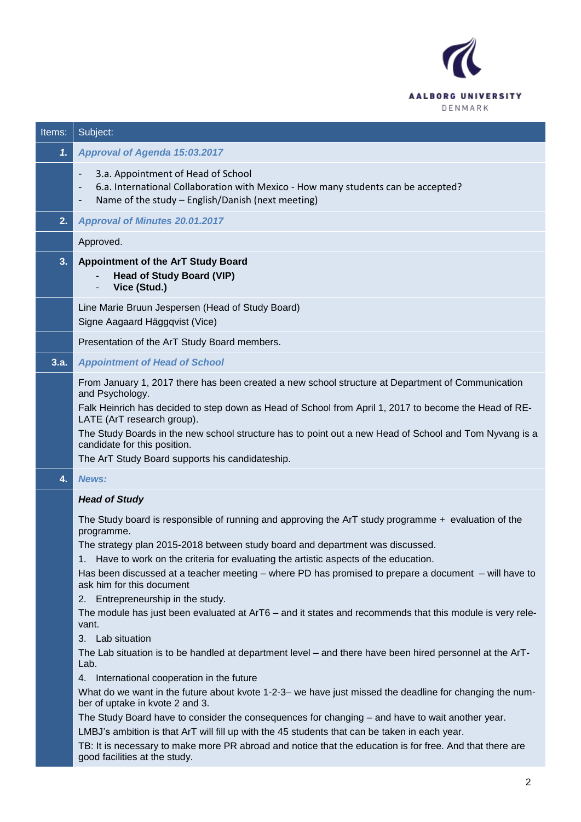

| Items: | Subject:                                                                                                                                                                                                           |
|--------|--------------------------------------------------------------------------------------------------------------------------------------------------------------------------------------------------------------------|
| 1.     | Approval of Agenda 15:03.2017                                                                                                                                                                                      |
|        | 3.a. Appointment of Head of School<br>-<br>6.a. International Collaboration with Mexico - How many students can be accepted?<br>-<br>Name of the study - English/Danish (next meeting)<br>$\overline{\phantom{a}}$ |
| 2.     | <b>Approval of Minutes 20.01.2017</b>                                                                                                                                                                              |
|        | Approved.                                                                                                                                                                                                          |
| 3.     | <b>Appointment of the ArT Study Board</b><br><b>Head of Study Board (VIP)</b><br>Vice (Stud.)                                                                                                                      |
|        | Line Marie Bruun Jespersen (Head of Study Board)<br>Signe Aagaard Häggqvist (Vice)                                                                                                                                 |
|        | Presentation of the ArT Study Board members.                                                                                                                                                                       |
| 3.a.   | <b>Appointment of Head of School</b>                                                                                                                                                                               |
|        | From January 1, 2017 there has been created a new school structure at Department of Communication<br>and Psychology.                                                                                               |
|        | Falk Heinrich has decided to step down as Head of School from April 1, 2017 to become the Head of RE-<br>LATE (ArT research group).                                                                                |
|        | The Study Boards in the new school structure has to point out a new Head of School and Tom Nyvang is a<br>candidate for this position.                                                                             |
|        | The ArT Study Board supports his candidateship.                                                                                                                                                                    |
| 4.     | <b>News:</b>                                                                                                                                                                                                       |
|        | <b>Head of Study</b>                                                                                                                                                                                               |
|        | The Study board is responsible of running and approving the ArT study programme + evaluation of the<br>programme.                                                                                                  |
|        | The strategy plan 2015-2018 between study board and department was discussed.                                                                                                                                      |
|        | 1. Have to work on the criteria for evaluating the artistic aspects of the education.                                                                                                                              |
|        | Has been discussed at a teacher meeting – where PD has promised to prepare a document – will have to<br>ask him for this document                                                                                  |
|        | 2. Entrepreneurship in the study.                                                                                                                                                                                  |
|        | The module has just been evaluated at ArT6 – and it states and recommends that this module is very rele-<br>vant.                                                                                                  |
|        | 3. Lab situation                                                                                                                                                                                                   |
|        | The Lab situation is to be handled at department level – and there have been hired personnel at the ArT-<br>Lab.                                                                                                   |
|        | 4. International cooperation in the future                                                                                                                                                                         |
|        | What do we want in the future about kvote 1-2-3- we have just missed the deadline for changing the num-<br>ber of uptake in kvote 2 and 3.                                                                         |
|        | The Study Board have to consider the consequences for changing - and have to wait another year.<br>LMBJ's ambition is that ArT will fill up with the 45 students that can be taken in each year.                   |
|        | TB: It is necessary to make more PR abroad and notice that the education is for free. And that there are                                                                                                           |
|        | good facilities at the study.                                                                                                                                                                                      |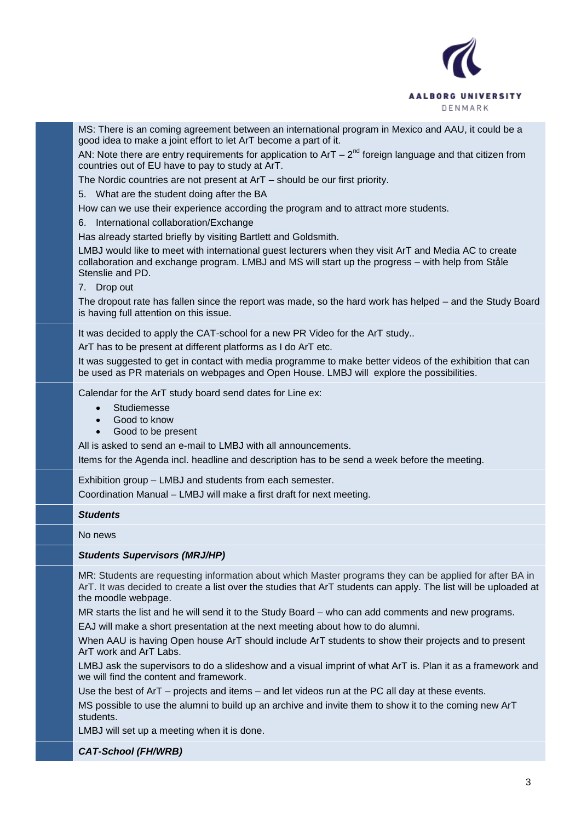

good idea to make a joint effort to let ArT become a part of it. AN: Note there are entry requirements for application to  $ArT - 2<sup>nd</sup>$  foreign language and that citizen from countries out of EU have to pay to study at ArT. The Nordic countries are not present at ArT – should be our first priority. 5. What are the student doing after the BA How can we use their experience according the program and to attract more students. 6. International collaboration/Exchange Has already started briefly by visiting Bartlett and Goldsmith. LMBJ would like to meet with international guest lecturers when they visit ArT and Media AC to create collaboration and exchange program. LMBJ and MS will start up the progress – with help from Ståle Stenslie and PD. 7. Drop out The dropout rate has fallen since the report was made, so the hard work has helped – and the Study Board is having full attention on this issue.

MS: There is an coming agreement between an international program in Mexico and AAU, it could be a

It was decided to apply the CAT-school for a new PR Video for the ArT study..

ArT has to be present at different platforms as I do ArT etc.

It was suggested to get in contact with media programme to make better videos of the exhibition that can be used as PR materials on webpages and Open House. LMBJ will explore the possibilities.

Calendar for the ArT study board send dates for Line ex:

- Studiemesse
- Good to know
- Good to be present

All is asked to send an e-mail to LMBJ with all announcements.

Items for the Agenda incl. headline and description has to be send a week before the meeting.

Exhibition group – LMBJ and students from each semester.

Coordination Manual – LMBJ will make a first draft for next meeting.

## *Students*

No news

## *Students Supervisors (MRJ/HP)*

MR: Students are requesting information about which Master programs they can be applied for after BA in ArT. It was decided to create a list over the studies that ArT students can apply. The list will be uploaded at the moodle webpage.

MR starts the list and he will send it to the Study Board – who can add comments and new programs.

EAJ will make a short presentation at the next meeting about how to do alumni.

When AAU is having Open house ArT should include ArT students to show their projects and to present ArT work and ArT Labs.

LMBJ ask the supervisors to do a slideshow and a visual imprint of what ArT is. Plan it as a framework and we will find the content and framework.

Use the best of ArT – projects and items – and let videos run at the PC all day at these events.

MS possible to use the alumni to build up an archive and invite them to show it to the coming new ArT students.

LMBJ will set up a meeting when it is done.

*CAT-School (FH/WRB)*